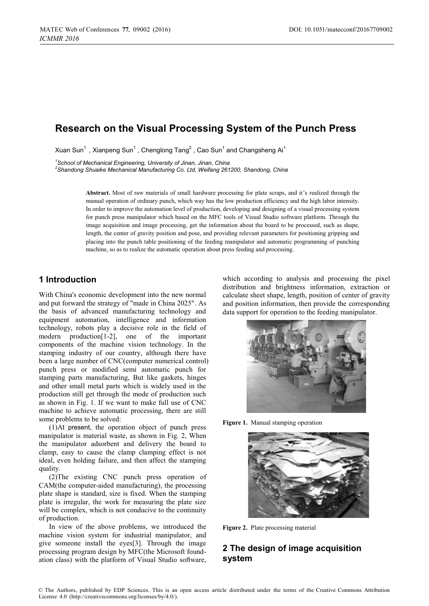# **Research on the Visual Processing System of the Punch Press**

Xuan Sun $^1$  , Xianpeng Sun $^1$  , Chenglong Tang $^2$  , Cao Sun $^1$  and Changsheng Ai $^1$ 

*1 School of Mechanical Engineering, University of Jinan, Jinan, China 2*

*Shandong Shuaike Mechanical Manufacturing Co. Ltd, Weifang 261200, Shandong, China* 

**Abstract.** Most of raw materials of small hardware processing for plate scraps, and it's realized through the manual operation of ordinary punch, which way has the low production efficiency and the high labor intensity. In order to improve the automation level of production, developing and designing of a visual processing system for punch press manipulator which based on the MFC tools of Visual Studio software platform. Through the image acquisition and image processing, get the information about the board to be processed, such as shape, length, the center of gravity position and pose, and providing relevant parameters for positioning gripping and placing into the punch table positioning of the feeding manipulator and automatic programming of punching machine, so as to realize the automatic operation about press feeding and processing.

# **1 Introduction**

With China's economic development into the new normal and put forward the strategy of "made in China 2025". As the basis of advanced manufacturing technology and equipment automation, intelligence and information technology, robots play a decisive role in the field of modern production[1-2], one of the important components of the machine vision technology. In the stamping industry of our country, although there have been a large number of CNC(computer numerical control) punch press or modified semi automatic punch for stamping parts manufacturing, But like gaskets, hinges and other small metal parts which is widely used in the production still get through the mode of production such as shown in Fig. 1. If we want to make full use of CNC machine to achieve automatic processing, there are still some problems to be solved:

(1)At present, the operation object of punch press manipulator is material waste, as shown in Fig. 2, When the manipulator adsorbent and delivery the board to clamp, easy to cause the clamp clamping effect is not ideal, even holding failure, and then affect the stamping quality.

(2)The existing CNC punch press operation of CAM(the computer-aided manufacturing), the processing plate shape is standard, size is fixed. When the stamping plate is irregular, the work for measuring the plate size will be complex, which is not conducive to the continuity of production.

In view of the above problems, we introduced the machine vision system for industrial manipulator, and give someone install the eyes[3]. Through the image processing program design by MFC(the Microsoft foundation class) with the platform of Visual Studio software,

which according to analysis and processing the pixel distribution and brightness information, extraction or calculate sheet shape, length, position of center of gravity and position information, then provide the corresponding data support for operation to the feeding manipulator.



**Figure 1.** Manual stamping operation



**Figure 2.** Plate processing material

# **2 The design of image acquisition system**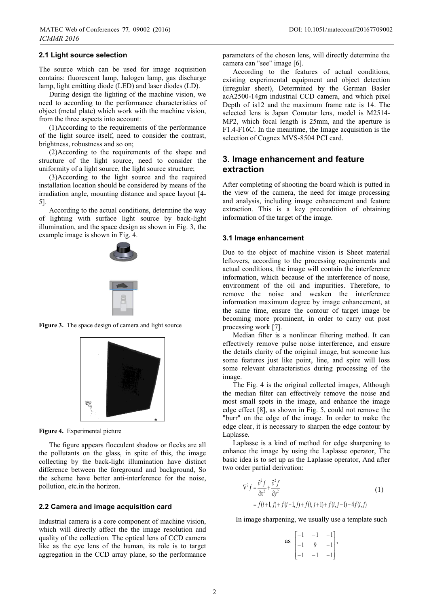#### **2.1 Light source selection**

The source which can be used for image acquisition contains: fluorescent lamp, halogen lamp, gas discharge lamp, light emitting diode (LED) and laser diodes (LD).

During design the lighting of the machine vision, we need to according to the performance characteristics of object (metal plate) which work with the machine vision, from the three aspects into account:

(1)According to the requirements of the performance of the light source itself, need to consider the contrast, brightness, robustness and so on;

(2)According to the requirements of the shape and structure of the light source, need to consider the uniformity of a light source, the light source structure;

(3)According to the light source and the required installation location should be considered by means of the irradiation angle, mounting distance and space layout [4- 5].

According to the actual conditions, determine the way of lighting with surface light source by back-light illumination, and the space design as shown in Fig. 3, the example image is shown in Fig. 4.



Figure 3. The space design of camera and light source



**Figure 4.** Experimental picture

The figure appears flocculent shadow or flecks are all the pollutants on the glass, in spite of this, the image collecting by the back-light illumination have distinct difference between the foreground and background, So the scheme have better anti-interference for the noise, pollution, etc.in the horizon.

#### **2.2 Camera and image acquisition card**

Industrial camera is a core component of machine vision, which will directly affect the the image resolution and quality of the collection. The optical lens of CCD camera like as the eye lens of the human, its role is to target aggregation in the CCD array plane, so the performance

parameters of the chosen lens, will directly determine the camera can "see" image [6].

According to the features of actual conditions, existing experimental equipment and object detection (irregular sheet), Determined by the German Basler acA2500-14gm industrial CCD camera, and which pixel Depth of is12 and the maximum frame rate is 14. The selected lens is Japan Comutar lens, model is M2514- MP2, which focal length is 25mm, and the aperture is F1.4-F16C. In the meantime, the Image acquisition is the selection of Cognex MVS-8504 PCI card.

## **3. Image enhancement and feature extraction**

After completing of shooting the board which is putted in the view of the camera, the need for image processing and analysis, including image enhancement and feature extraction. This is a key precondition of obtaining information of the target of the image.

#### **3.1 Image enhancement**

Due to the object of machine vision is Sheet material leftovers, according to the processing requirements and actual conditions, the image will contain the interference information, which because of the interference of noise, environment of the oil and impurities. Therefore, to remove the noise and weaken the interference information maximum degree by image enhancement, at the same time, ensure the contour of target image be becoming more prominent, in order to carry out post processing work [7].

Median filter is a nonlinear filtering method. It can effectively remove pulse noise interference, and ensure the details clarity of the original image, but someone has some features just like point, line, and spire will loss some relevant characteristics during processing of the image.

The Fig. 4 is the original collected images, Although the median filter can effectively remove the noise and most small spots in the image, and enhance the image edge effect [8], as shown in Fig. 5, could not remove the "burr" on the edge of the image. In order to make the edge clear, it is necessary to sharpen the edge contour by Laplasse.

Laplasse is a kind of method for edge sharpening to enhance the image by using the Laplasse operator, The basic idea is to set up as the Laplasse operator, And after two order partial derivation:

$$
\nabla^2 f = \frac{\partial^2 f}{\partial x^2} + \frac{\partial^2 f}{\partial y^2}
$$
  
=  $f(i+1, j) + f(i-1, j) + f(i, j+1) + f(i, j-1) - 4f(i, j)$  (1)

In image sharpening, we usually use a template such

as 
$$
\begin{bmatrix} -1 & -1 & -1 \\ -1 & 9 & -1 \\ -1 & -1 & -1 \end{bmatrix}
$$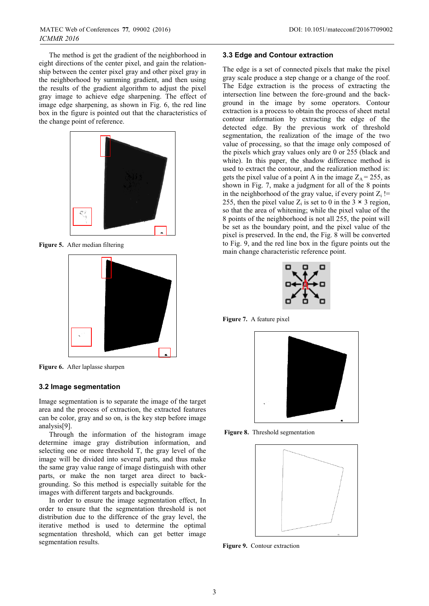The method is get the gradient of the neighborhood in eight directions of the center pixel, and gain the relationship between the center pixel gray and other pixel gray in the neighborhood by summing gradient, and then using the results of the gradient algorithm to adjust the pixel gray image to achieve edge sharpening. The effect of image edge sharpening, as shown in Fig. 6, the red line box in the figure is pointed out that the characteristics of the change point of reference.



**Figure 5.** After median filtering



**Figure 6.** After laplasse sharpen

### **3.2 Image segmentation**

Image segmentation is to separate the image of the target area and the process of extraction, the extracted features can be color, gray and so on, is the key step before image analysis[9].

Through the information of the histogram image determine image gray distribution information, and selecting one or more threshold T, the gray level of the image will be divided into several parts, and thus make the same gray value range of image distinguish with other parts, or make the non target area direct to backgrounding. So this method is especially suitable for the images with different targets and backgrounds.

In order to ensure the image segmentation effect, In order to ensure that the segmentation threshold is not distribution due to the difference of the gray level, the iterative method is used to determine the optimal segmentation threshold, which can get better image segmentation results.

#### **3.3 Edge and Contour extraction**

The edge is a set of connected pixels that make the pixel gray scale produce a step change or a change of the roof. The Edge extraction is the process of extracting the intersection line between the fore-ground and the background in the image by some operators. Contour extraction is a process to obtain the process of sheet metal contour information by extracting the edge of the detected edge. By the previous work of threshold segmentation, the realization of the image of the two value of processing, so that the image only composed of the pixels which gray values only are 0 or 255 (black and white). In this paper, the shadow difference method is used to extract the contour, and the realization method is: gets the pixel value of a point A in the image  $Z_A = 255$ , as shown in Fig. 7, make a judgment for all of the 8 points in the neighborhood of the gray value, if every point  $Z_i$  != 255, then the pixel value  $Z_i$  is set to 0 in the 3  $\times$  3 region, so that the area of whitening; while the pixel value of the 8 points of the neighborhood is not all 255, the point will be set as the boundary point, and the pixel value of the pixel is preserved. In the end, the Fig. 8 will be converted to Fig. 9, and the red line box in the figure points out the main change characteristic reference point.



**Figure 7.** A feature pixel



**Figure 8.** Threshold segmentation



**Figure 9.** Contour extraction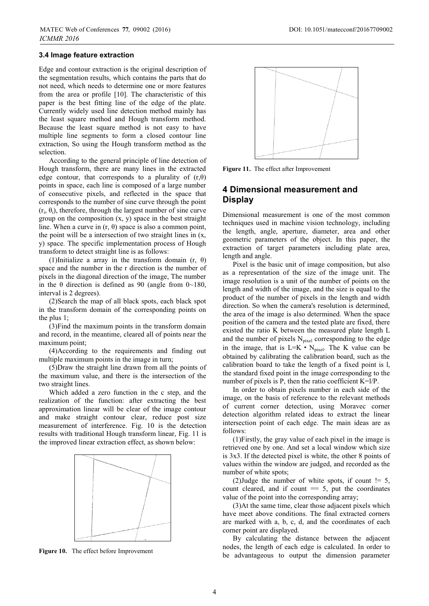### **3.4 Image feature extraction**

Edge and contour extraction is the original description of the segmentation results, which contains the parts that do not need, which needs to determine one or more features from the area or profile [10]. The characteristic of this paper is the best fitting line of the edge of the plate. Currently widely used line detection method mainly has the least square method and Hough transform method. Because the least square method is not easy to have multiple line segments to form a closed contour line extraction, So using the Hough transform method as the selection.

According to the general principle of line detection of Hough transform, there are many lines in the extracted edge contour, that corresponds to a plurality of  $(r,\theta)$ points in space, each line is composed of a large number of consecutive pixels, and reflected in the space that corresponds to the number of sine curve through the point  $(r_i, \theta_i)$ , therefore, through the largest number of sine curve group on the composition  $(x, y)$  space in the best straight line. When a curve in  $(r, \theta)$  space is also a common point, the point will be a intersection of two straight lines in (x, y) space. The specific implementation process of Hough transform to detect straight line is as follows:

(1)Initialize a array in the transform domain  $(r, \theta)$ space and the number in the r direction is the number of pixels in the diagonal direction of the image, The number in the θ direction is defined as 90 (angle from  $0 \sim 180$ , interval is 2 degrees).

(2)Search the map of all black spots, each black spot in the transform domain of the corresponding points on the plus 1;

(3)Find the maximum points in the transform domain and record, in the meantime, cleared all of points near the maximum point;

(4)According to the requirements and finding out multiple maximum points in the image in turn;

(5)Draw the straight line drawn from all the points of the maximum value, and there is the intersection of the two straight lines.

Which added a zero function in the c step, and the realization of the function: after extracting the best approximation linear will be clear of the image contour and make straight contour clear, reduce post size measurement of interference. Fig. 10 is the detection results with traditional Hough transform linear, Fig. 11 is the improved linear extraction effect, as shown below:



**Figure 10.** The effect before Improvement



**Figure 11.** The effect after Improvement

### **4 Dimensional measurement and Display**

Dimensional measurement is one of the most common techniques used in machine vision technology, including the length, angle, aperture, diameter, area and other geometric parameters of the object. In this paper, the extraction of target parameters including plate area, length and angle.

Pixel is the basic unit of image composition, but also as a representation of the size of the image unit. The image resolution is a unit of the number of points on the length and width of the image, and the size is equal to the product of the number of pixels in the length and width direction. So when the camera's resolution is determined, the area of the image is also determined. When the space position of the camera and the tested plate are fixed, there existed the ratio K between the measured plate length L and the number of pixels  $N_{pixel}$  corresponding to the edge in the image, that is  $L=K\cdot N_{pixel}$ . The K value can be obtained by calibrating the calibration board, such as the calibration board to take the length of a fixed point is l, the standard fixed point in the image corresponding to the number of pixels is P, then the ratio coefficient  $K=1/P$ .

In order to obtain pixels number in each side of the image, on the basis of reference to the relevant methods of current corner detection, using Moravec corner detection algorithm related ideas to extract the linear intersection point of each edge. The main ideas are as follows:

(1)Firstly, the gray value of each pixel in the image is retrieved one by one. And set a local window which size is 3x3. If the detected pixel is white, the other 8 points of values within the window are judged, and recorded as the number of white spots;

(2) Judge the number of white spots, if count  $!= 5$ , count cleared, and if count  $= 5$ , put the coordinates value of the point into the corresponding array;

(3)At the same time, clear those adjacent pixels which have meet above conditions. The final extracted corners are marked with a, b, c, d, and the coordinates of each corner point are displayed.

By calculating the distance between the adjacent nodes, the length of each edge is calculated. In order to be advantageous to output the dimension parameter